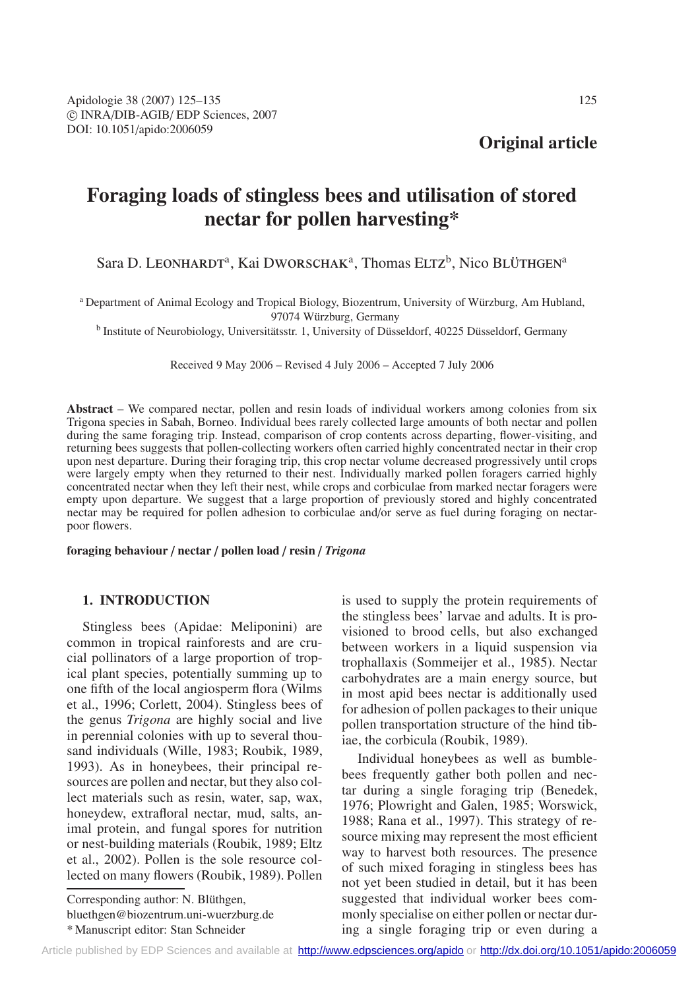# **Foraging loads of stingless bees and utilisation of stored nectar for pollen harvesting\***

Sara D. LEONHARDT<sup>a</sup>, Kai DWORSCHAK<sup>a</sup>, Thomas ELTZ<sup>b</sup>, Nico BLÜTHGEN<sup>a</sup>

<sup>a</sup> Department of Animal Ecology and Tropical Biology, Biozentrum, University of Würzburg, Am Hubland, 97074 Würzburg, Germany

<sup>b</sup> Institute of Neurobiology, Universitätsstr. 1, University of Düsseldorf, 40225 Düsseldorf, Germany

Received 9 May 2006 – Revised 4 July 2006 – Accepted 7 July 2006

**Abstract** – We compared nectar, pollen and resin loads of individual workers among colonies from six Trigona species in Sabah, Borneo. Individual bees rarely collected large amounts of both nectar and pollen during the same foraging trip. Instead, comparison of crop contents across departing, flower-visiting, and returning bees suggests that pollen-collecting workers often carried highly concentrated nectar in their crop upon nest departure. During their foraging trip, this crop nectar volume decreased progressively until crops were largely empty when they returned to their nest. Individually marked pollen foragers carried highly concentrated nectar when they left their nest, while crops and corbiculae from marked nectar foragers were empty upon departure. We suggest that a large proportion of previously stored and highly concentrated nectar may be required for pollen adhesion to corbiculae and/or serve as fuel during foraging on nectarpoor flowers.

#### **foraging behaviour** / **nectar** / **pollen load** / **resin** / *Trigona*

# **1. INTRODUCTION**

Stingless bees (Apidae: Meliponini) are common in tropical rainforests and are crucial pollinators of a large proportion of tropical plant species, potentially summing up to one fifth of the local angiosperm flora (Wilms et al., 1996; Corlett, 2004). Stingless bees of the genus *Trigona* are highly social and live in perennial colonies with up to several thousand individuals (Wille, 1983; Roubik, 1989, 1993). As in honeybees, their principal resources are pollen and nectar, but they also collect materials such as resin, water, sap, wax, honeydew, extrafloral nectar, mud, salts, animal protein, and fungal spores for nutrition or nest-building materials (Roubik, 1989; Eltz et al., 2002). Pollen is the sole resource collected on many flowers (Roubik, 1989). Pollen

Corresponding author: N. Blüthgen, bluethgen@biozentrum.uni-wuerzburg.de \* Manuscript editor: Stan Schneider

is used to supply the protein requirements of the stingless bees' larvae and adults. It is provisioned to brood cells, but also exchanged between workers in a liquid suspension via trophallaxis (Sommeijer et al., 1985). Nectar carbohydrates are a main energy source, but in most apid bees nectar is additionally used for adhesion of pollen packages to their unique pollen transportation structure of the hind tibiae, the corbicula (Roubik, 1989).

Individual honeybees as well as bumblebees frequently gather both pollen and nectar during a single foraging trip (Benedek, 1976; Plowright and Galen, 1985; Worswick, 1988; Rana et al., 1997). This strategy of resource mixing may represent the most efficient way to harvest both resources. The presence of such mixed foraging in stingless bees has not yet been studied in detail, but it has been suggested that individual worker bees commonly specialise on either pollen or nectar during a single foraging trip or even during a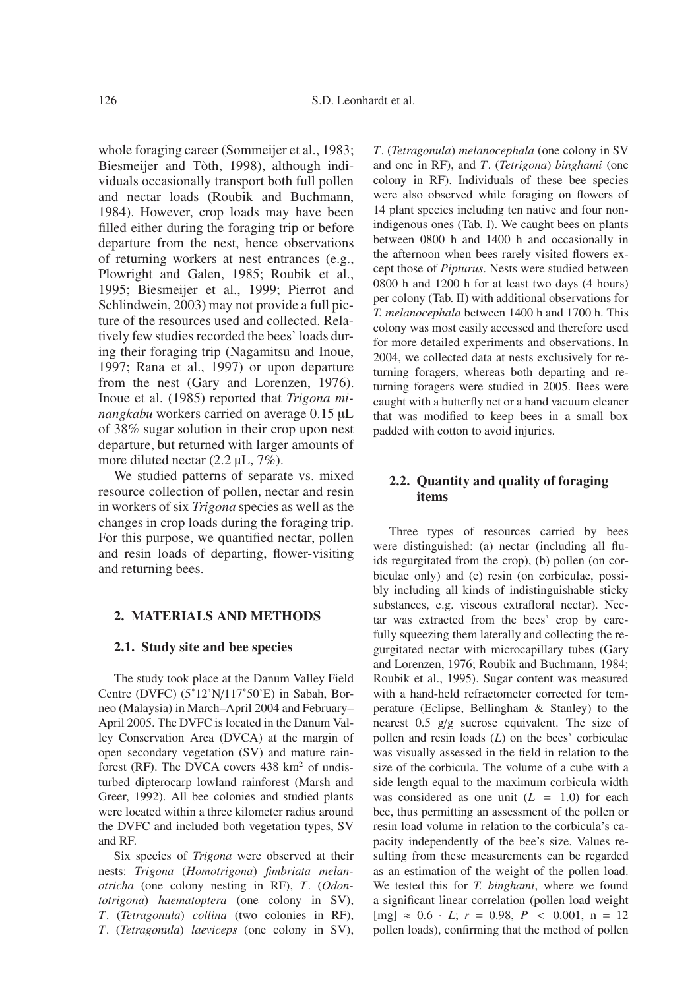whole foraging career (Sommeijer et al., 1983; Biesmeijer and Tòth, 1998), although individuals occasionally transport both full pollen and nectar loads (Roubik and Buchmann, 1984). However, crop loads may have been filled either during the foraging trip or before departure from the nest, hence observations of returning workers at nest entrances (e.g., Plowright and Galen, 1985; Roubik et al., 1995; Biesmeijer et al., 1999; Pierrot and Schlindwein, 2003) may not provide a full picture of the resources used and collected. Relatively few studies recorded the bees' loads during their foraging trip (Nagamitsu and Inoue, 1997; Rana et al., 1997) or upon departure from the nest (Gary and Lorenzen, 1976). Inoue et al. (1985) reported that *Trigona minangkabu* workers carried on average 0.15 µL of 38% sugar solution in their crop upon nest departure, but returned with larger amounts of more diluted nectar  $(2.2 \mu L, 7\%)$ .

We studied patterns of separate vs. mixed resource collection of pollen, nectar and resin in workers of six *Trigona* species as well as the changes in crop loads during the foraging trip. For this purpose, we quantified nectar, pollen and resin loads of departing, flower-visiting and returning bees.

### **2. MATERIALS AND METHODS**

## **2.1. Study site and bee species**

The study took place at the Danum Valley Field Centre (DVFC) (5˚12'N/117˚50'E) in Sabah, Borneo (Malaysia) in March–April 2004 and February– April 2005. The DVFC is located in the Danum Valley Conservation Area (DVCA) at the margin of open secondary vegetation (SV) and mature rainforest (RF). The DVCA covers  $438 \text{ km}^2$  of undisturbed dipterocarp lowland rainforest (Marsh and Greer, 1992). All bee colonies and studied plants were located within a three kilometer radius around the DVFC and included both vegetation types, SV and RF.

Six species of *Trigona* were observed at their nests: *Trigona* (*Homotrigona*) *fimbriata melanotricha* (one colony nesting in RF), *T*. (*Odontotrigona*) *haematoptera* (one colony in SV), *T*. (*Tetragonula*) *collina* (two colonies in RF), *T*. (*Tetragonula*) *laeviceps* (one colony in SV), *T*. (*Tetragonula*) *melanocephala* (one colony in SV and one in RF), and *T*. (*Tetrigona*) *binghami* (one colony in RF). Individuals of these bee species were also observed while foraging on flowers of 14 plant species including ten native and four nonindigenous ones (Tab. I). We caught bees on plants between 0800 h and 1400 h and occasionally in the afternoon when bees rarely visited flowers except those of *Pipturus*. Nests were studied between 0800 h and 1200 h for at least two days (4 hours) per colony (Tab. II) with additional observations for *T. melanocephala* between 1400 h and 1700 h. This colony was most easily accessed and therefore used for more detailed experiments and observations. In 2004, we collected data at nests exclusively for returning foragers, whereas both departing and returning foragers were studied in 2005. Bees were caught with a butterfly net or a hand vacuum cleaner that was modified to keep bees in a small box padded with cotton to avoid injuries.

# **2.2. Quantity and quality of foraging items**

Three types of resources carried by bees were distinguished: (a) nectar (including all fluids regurgitated from the crop), (b) pollen (on corbiculae only) and (c) resin (on corbiculae, possibly including all kinds of indistinguishable sticky substances, e.g. viscous extrafloral nectar). Nectar was extracted from the bees' crop by carefully squeezing them laterally and collecting the regurgitated nectar with microcapillary tubes (Gary and Lorenzen, 1976; Roubik and Buchmann, 1984; Roubik et al., 1995). Sugar content was measured with a hand-held refractometer corrected for temperature (Eclipse, Bellingham & Stanley) to the nearest 0.5 g/g sucrose equivalent. The size of pollen and resin loads (*L*) on the bees' corbiculae was visually assessed in the field in relation to the size of the corbicula. The volume of a cube with a side length equal to the maximum corbicula width was considered as one unit  $(L = 1.0)$  for each bee, thus permitting an assessment of the pollen or resin load volume in relation to the corbicula's capacity independently of the bee's size. Values resulting from these measurements can be regarded as an estimation of the weight of the pollen load. We tested this for *T. binghami*, where we found a significant linear correlation (pollen load weight  $[mg] \approx 0.6 \cdot L$ ;  $r = 0.98$ ,  $P < 0.001$ ,  $n = 12$ pollen loads), confirming that the method of pollen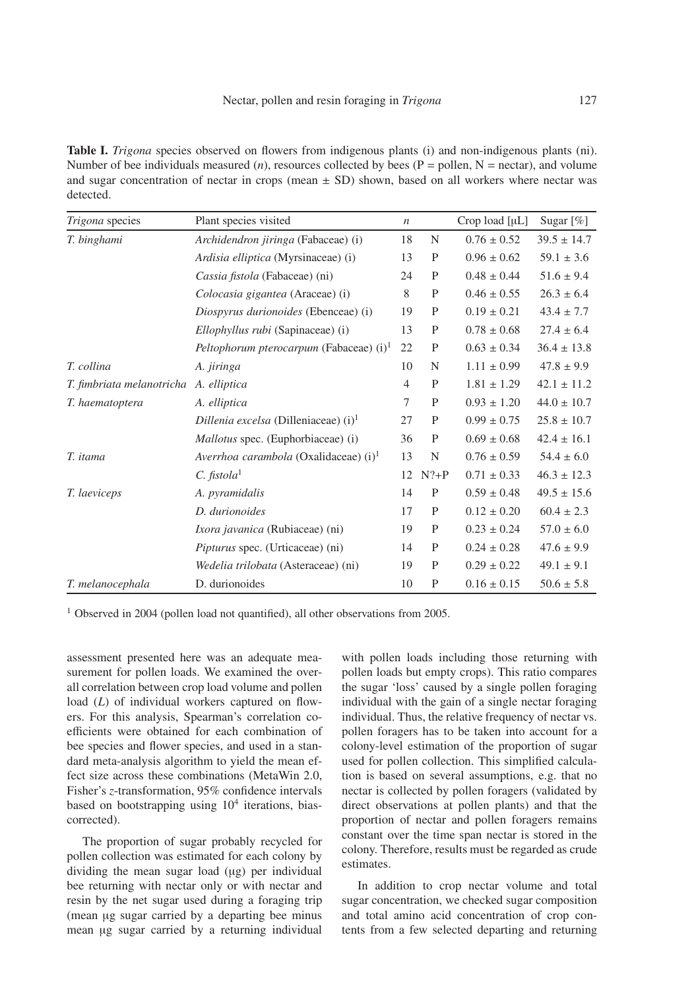**Table I.** *Trigona* species observed on flowers from indigenous plants (i) and non-indigenous plants (ni). Number of bee individuals measured  $(n)$ , resources collected by bees  $(P = pollen, N = nectar)$ , and volume and sugar concentration of nectar in crops (mean  $\pm$  SD) shown, based on all workers where nectar was detected.

| <i>Trigona</i> species                 | Plant species visited                             | $\boldsymbol{n}$ |              | Crop load [µL]  | Sugar $[\%]$    |
|----------------------------------------|---------------------------------------------------|------------------|--------------|-----------------|-----------------|
| T. binghami                            | Archidendron jiringa (Fabaceae) (i)               | 18               | N            | $0.76 \pm 0.52$ | $39.5 \pm 14.7$ |
|                                        | Ardisia elliptica (Myrsinaceae) (i)               | 13               | P            | $0.96 \pm 0.62$ | $59.1 \pm 3.6$  |
|                                        | Cassia fistola (Fabaceae) (ni)                    | 24               | P            | $0.48 \pm 0.44$ | $51.6 \pm 9.4$  |
|                                        | Colocasia gigantea (Araceae) (i)                  | 8                | P            | $0.46 \pm 0.55$ | $26.3 \pm 6.4$  |
|                                        | Diospyrus durionoides (Ebenceae) (i)              | 19               | P            | $0.19 \pm 0.21$ | $43.4 \pm 7.7$  |
|                                        | Ellophyllus rubi (Sapinaceae) (i)                 | 13               | P            | $0.78 \pm 0.68$ | $27.4 \pm 6.4$  |
|                                        | Peltophorum pterocarpum (Fabaceae) $(i)^{1}$      | 22               | P            | $0.63 \pm 0.34$ | $36.4 \pm 13.8$ |
| T. collina                             | A. jiringa                                        | 10               | N            | $1.11 \pm 0.99$ | $47.8 \pm 9.9$  |
| T. fimbriata melanotricha A. elliptica |                                                   |                  | $\mathbf{P}$ | $1.81 \pm 1.29$ | $42.1 \pm 11.2$ |
| T. haematoptera                        | A. elliptica                                      | 7                | P            | $0.93 \pm 1.20$ | $44.0 \pm 10.7$ |
|                                        | <i>Dillenia excelsa</i> (Dilleniaceae) $(i)^1$    | 27               | $\mathbf{P}$ | $0.99 \pm 0.75$ | $25.8 \pm 10.7$ |
|                                        | Mallotus spec. (Euphorbiaceae) (i)                | 36               | P            | $0.69 \pm 0.68$ | $42.4 \pm 16.1$ |
| T. itama                               | Averrhoa carambola (Oxalidaceae) (i) <sup>1</sup> | 13               | N            | $0.76 \pm 0.59$ | $54.4 \pm 6.0$  |
|                                        | $C.$ fistola <sup>1</sup>                         | 12               | $N?+P$       | $0.71 \pm 0.33$ | $46.3 \pm 12.3$ |
| T. laeviceps                           | A. pyramidalis                                    | 14               | P            | $0.59 \pm 0.48$ | $49.5 \pm 15.6$ |
|                                        | D. durionoides                                    | 17               | P            | $0.12 \pm 0.20$ | $60.4 \pm 2.3$  |
|                                        | <i>Ixora javanica</i> (Rubiaceae) (ni)            | 19               | P            | $0.23 \pm 0.24$ | $57.0 \pm 6.0$  |
|                                        | <i>Pipturus</i> spec. (Urticaceae) (ni)           | 14               | $\mathbf P$  | $0.24 \pm 0.28$ | $47.6 \pm 9.9$  |
|                                        | Wedelia trilobata (Asteraceae) (ni)               | 19               | P            | $0.29 \pm 0.22$ | $49.1 \pm 9.1$  |
| T. melanocephala                       | D. durionoides                                    | 10               | P            | $0.16 \pm 0.15$ | $50.6 \pm 5.8$  |

<sup>1</sup> Observed in 2004 (pollen load not quantified), all other observations from 2005.

assessment presented here was an adequate measurement for pollen loads. We examined the overall correlation between crop load volume and pollen load (*L*) of individual workers captured on flowers. For this analysis, Spearman's correlation coefficients were obtained for each combination of bee species and flower species, and used in a standard meta-analysis algorithm to yield the mean effect size across these combinations (MetaWin 2.0, Fisher's *z*-transformation, 95% confidence intervals based on bootstrapping using  $10^4$  iterations, biascorrected).

The proportion of sugar probably recycled for pollen collection was estimated for each colony by dividing the mean sugar load (µg) per individual bee returning with nectar only or with nectar and resin by the net sugar used during a foraging trip (mean µg sugar carried by a departing bee minus mean µg sugar carried by a returning individual with pollen loads including those returning with pollen loads but empty crops). This ratio compares the sugar 'loss' caused by a single pollen foraging individual with the gain of a single nectar foraging individual. Thus, the relative frequency of nectar vs. pollen foragers has to be taken into account for a colony-level estimation of the proportion of sugar used for pollen collection. This simplified calculation is based on several assumptions, e.g. that no nectar is collected by pollen foragers (validated by direct observations at pollen plants) and that the proportion of nectar and pollen foragers remains constant over the time span nectar is stored in the colony. Therefore, results must be regarded as crude estimates.

In addition to crop nectar volume and total sugar concentration, we checked sugar composition and total amino acid concentration of crop contents from a few selected departing and returning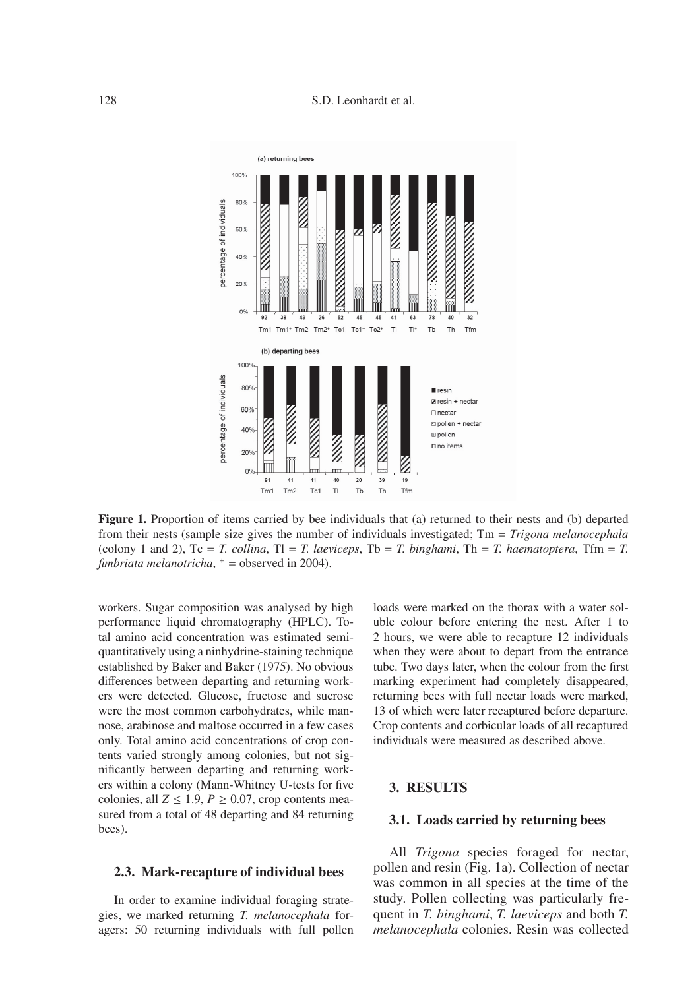

**Figure 1.** Proportion of items carried by bee individuals that (a) returned to their nests and (b) departed from their nests (sample size gives the number of individuals investigated; Tm = *Trigona melanocephala* (colony 1 and 2),  $Tc = T$ . *collina*,  $Tl = T$ . *laeviceps*,  $Tb = T$ . *binghami*,  $Th = T$ . *haematoptera*,  $Tfm = T$ . *fimbriata melanotricha*,  $<sup>+</sup>$  = observed in 2004).</sup>

workers. Sugar composition was analysed by high performance liquid chromatography (HPLC). Total amino acid concentration was estimated semiquantitatively using a ninhydrine-staining technique established by Baker and Baker (1975). No obvious differences between departing and returning workers were detected. Glucose, fructose and sucrose were the most common carbohydrates, while mannose, arabinose and maltose occurred in a few cases only. Total amino acid concentrations of crop contents varied strongly among colonies, but not significantly between departing and returning workers within a colony (Mann-Whitney U-tests for five colonies, all  $Z \le 1.9$ ,  $P \ge 0.07$ , crop contents measured from a total of 48 departing and 84 returning bees).

#### **2.3. Mark-recapture of individual bees**

In order to examine individual foraging strategies, we marked returning *T. melanocephala* foragers: 50 returning individuals with full pollen loads were marked on the thorax with a water soluble colour before entering the nest. After 1 to 2 hours, we were able to recapture 12 individuals when they were about to depart from the entrance tube. Two days later, when the colour from the first marking experiment had completely disappeared, returning bees with full nectar loads were marked, 13 of which were later recaptured before departure. Crop contents and corbicular loads of all recaptured individuals were measured as described above.

## **3. RESULTS**

## **3.1. Loads carried by returning bees**

All *Trigona* species foraged for nectar, pollen and resin (Fig. 1a). Collection of nectar was common in all species at the time of the study. Pollen collecting was particularly frequent in *T. binghami*, *T. laeviceps* and both *T. melanocephala* colonies. Resin was collected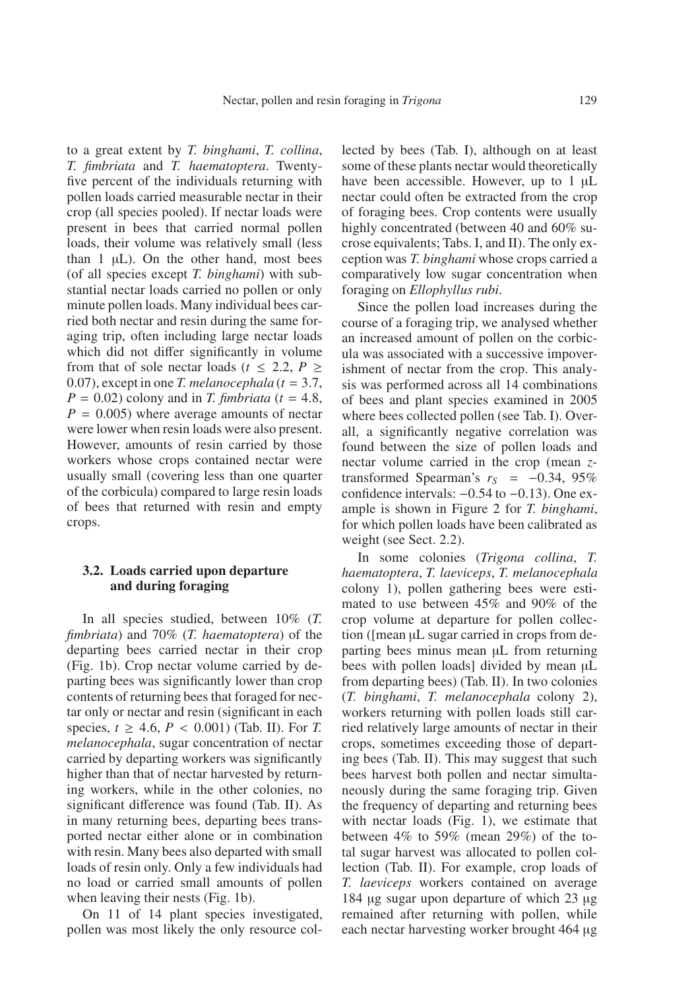to a great extent by *T. binghami*, *T. collina*, *T. fimbriata* and *T. haematoptera*. Twentyfive percent of the individuals returning with pollen loads carried measurable nectar in their crop (all species pooled). If nectar loads were present in bees that carried normal pollen loads, their volume was relatively small (less than  $1 \mu L$ ). On the other hand, most bees (of all species except *T. binghami*) with substantial nectar loads carried no pollen or only minute pollen loads. Many individual bees carried both nectar and resin during the same foraging trip, often including large nectar loads which did not differ significantly in volume from that of sole nectar loads ( $t \leq 2.2$ ,  $P \geq$ 0.07), except in one *T. melanocephala* (*t* = 3.7,  $P = 0.02$ ) colony and in *T. fimbriata* ( $t = 4.8$ ,  $P = 0.005$ ) where average amounts of nectar were lower when resin loads were also present. However, amounts of resin carried by those workers whose crops contained nectar were usually small (covering less than one quarter of the corbicula) compared to large resin loads of bees that returned with resin and empty crops.

# **3.2. Loads carried upon departure and during foraging**

In all species studied, between 10% (*T. fimbriata*) and 70% (*T. haematoptera*) of the departing bees carried nectar in their crop (Fig. 1b). Crop nectar volume carried by departing bees was significantly lower than crop contents of returning bees that foraged for nectar only or nectar and resin (significant in each species,  $t \geq 4.6$ ,  $P < 0.001$ ) (Tab. II). For *T*. *melanocephala*, sugar concentration of nectar carried by departing workers was significantly higher than that of nectar harvested by returning workers, while in the other colonies, no significant difference was found (Tab. II). As in many returning bees, departing bees transported nectar either alone or in combination with resin. Many bees also departed with small loads of resin only. Only a few individuals had no load or carried small amounts of pollen when leaving their nests (Fig. 1b).

On 11 of 14 plant species investigated, pollen was most likely the only resource collected by bees (Tab. I), although on at least some of these plants nectar would theoretically have been accessible. However, up to 1  $\mu$ L nectar could often be extracted from the crop of foraging bees. Crop contents were usually highly concentrated (between 40 and 60% sucrose equivalents; Tabs. I, and II). The only exception was *T. binghami* whose crops carried a comparatively low sugar concentration when foraging on *Ellophyllus rubi*.

Since the pollen load increases during the course of a foraging trip, we analysed whether an increased amount of pollen on the corbicula was associated with a successive impoverishment of nectar from the crop. This analysis was performed across all 14 combinations of bees and plant species examined in 2005 where bees collected pollen (see Tab. I). Overall, a significantly negative correlation was found between the size of pollen loads and nectar volume carried in the crop (mean *z*transformed Spearman's  $r_S = -0.34, 95\%$ confidence intervals: −0.54 to −0.13). One example is shown in Figure 2 for *T. binghami*, for which pollen loads have been calibrated as weight (see Sect. 2.2).

In some colonies (*Trigona collina*, *T. haematoptera*, *T. laeviceps*, *T. melanocephala* colony 1), pollen gathering bees were estimated to use between 45% and 90% of the crop volume at departure for pollen collection ([mean µL sugar carried in crops from departing bees minus mean µL from returning bees with pollen loads] divided by mean  $\mu$ L from departing bees) (Tab. II). In two colonies (*T. binghami*, *T. melanocephala* colony 2), workers returning with pollen loads still carried relatively large amounts of nectar in their crops, sometimes exceeding those of departing bees (Tab. II). This may suggest that such bees harvest both pollen and nectar simultaneously during the same foraging trip. Given the frequency of departing and returning bees with nectar loads (Fig. 1), we estimate that between 4% to 59% (mean 29%) of the total sugar harvest was allocated to pollen collection (Tab. II). For example, crop loads of *T. laeviceps* workers contained on average 184 µg sugar upon departure of which 23 µg remained after returning with pollen, while each nectar harvesting worker brought 464 µg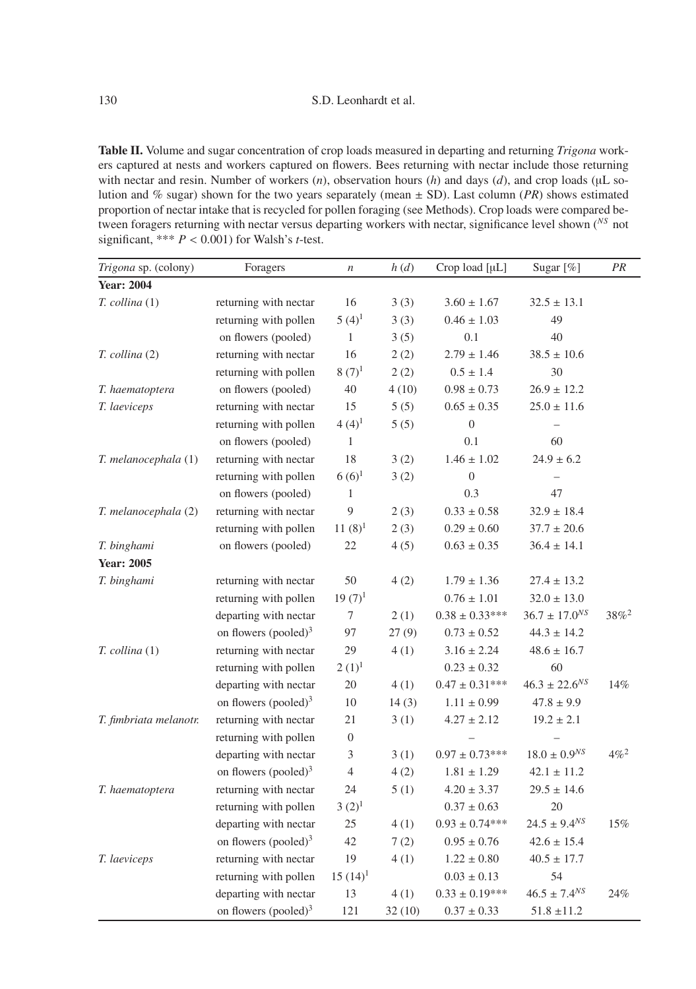**Table II.** Volume and sugar concentration of crop loads measured in departing and returning *Trigona* workers captured at nests and workers captured on flowers. Bees returning with nectar include those returning with nectar and resin. Number of workers (*n*), observation hours (*h*) and days (*d*), and crop loads ( $\mu$ L solution and % sugar) shown for the two years separately (mean ± SD). Last column (*PR*) shows estimated proportion of nectar intake that is recycled for pollen foraging (see Methods). Crop loads were compared between foragers returning with nectar versus departing workers with nectar, significance level shown (*NS* not significant, \*\*\*  $P < 0.001$ ) for Walsh's *t*-test.

| Trigona sp. (colony)   | Foragers                         | $\boldsymbol{n}$ | h(d)   | Crop load [µL]     | Sugar [%]                | PR        |
|------------------------|----------------------------------|------------------|--------|--------------------|--------------------------|-----------|
| <b>Year: 2004</b>      |                                  |                  |        |                    |                          |           |
| $T.$ collina $(1)$     | returning with nectar            | 16               | 3(3)   | $3.60 \pm 1.67$    | $32.5 \pm 13.1$          |           |
|                        | returning with pollen            | $5(4)^1$         | 3(3)   | $0.46 \pm 1.03$    | 49                       |           |
|                        | on flowers (pooled)              | 1                | 3(5)   | 0.1                | 40                       |           |
| T. collina (2)         | returning with nectar            | 16               | 2(2)   | $2.79 \pm 1.46$    | $38.5 \pm 10.6$          |           |
|                        | returning with pollen            | $8(7)^1$         | 2(2)   | $0.5 \pm 1.4$      | 30                       |           |
| T. haematoptera        | on flowers (pooled)              | 40               | 4(10)  | $0.98 \pm 0.73$    | $26.9 \pm 12.2$          |           |
| T. laeviceps           | returning with nectar            | 15               | 5(5)   | $0.65 \pm 0.35$    | $25.0 \pm 11.6$          |           |
|                        | returning with pollen            | $4(4)^1$         | 5(5)   | $\theta$           |                          |           |
|                        | on flowers (pooled)              | 1                |        | 0.1                | 60                       |           |
| T. melanocephala (1)   | returning with nectar            | 18               | 3(2)   | $1.46 \pm 1.02$    | $24.9 \pm 6.2$           |           |
|                        | returning with pollen            | $6(6)^1$         | 3(2)   | $\theta$           | $\overline{\phantom{0}}$ |           |
|                        | on flowers (pooled)              | 1                |        | 0.3                | 47                       |           |
| T. melanocephala (2)   | returning with nectar            | 9                | 2(3)   | $0.33 \pm 0.58$    | $32.9 \pm 18.4$          |           |
|                        | returning with pollen            | $11(8)^1$        | 2(3)   | $0.29 \pm 0.60$    | $37.7 \pm 20.6$          |           |
| T. binghami            | on flowers (pooled)              | 22               | 4(5)   | $0.63 \pm 0.35$    | $36.4 \pm 14.1$          |           |
| <b>Year: 2005</b>      |                                  |                  |        |                    |                          |           |
| T. binghami            | returning with nectar            | 50               | 4(2)   | $1.79 \pm 1.36$    | $27.4 \pm 13.2$          |           |
|                        | returning with pollen            | $19(7)^1$        |        | $0.76 \pm 1.01$    | $32.0 \pm 13.0$          |           |
|                        | departing with nectar            | 7                | 2(1)   | $0.38 \pm 0.33***$ | $36.7 \pm 17.0^{NS}$     | $38\%^2$  |
|                        | on flowers (pooled) <sup>3</sup> | 97               | 27(9)  | $0.73 \pm 0.52$    | $44.3 \pm 14.2$          |           |
| $T.$ collina $(1)$     | returning with nectar            | 29               | 4(1)   | $3.16 \pm 2.24$    | $48.6 \pm 16.7$          |           |
|                        | returning with pollen            | $2(1)^{1}$       |        | $0.23 \pm 0.32$    | 60                       |           |
|                        | departing with nectar            | 20               | 4(1)   | $0.47 \pm 0.31***$ | $46.3 \pm 22.6^{NS}$     | 14%       |
|                        | on flowers (pooled) $3$          | 10               | 14(3)  | $1.11 \pm 0.99$    | $47.8 \pm 9.9$           |           |
| T. fimbriata melanotr. | returning with nectar            | 21               | 3(1)   | $4.27 \pm 2.12$    | $19.2 \pm 2.1$           |           |
|                        | returning with pollen            | $\boldsymbol{0}$ |        |                    |                          |           |
|                        | departing with nectar            | 3                | 3(1)   | $0.97 \pm 0.73***$ | $18.0\pm0.9^{NS}$        | $4\%^{2}$ |
|                        | on flowers (pooled) $3$          | $\overline{4}$   | 4(2)   | $1.81 \pm 1.29$    | $42.1 \pm 11.2$          |           |
| T. haematoptera        | returning with nectar            | 24               | 5(1)   | $4.20 \pm 3.37$    | $29.5 \pm 14.6$          |           |
|                        | returning with pollen            | $3(2)^{1}$       |        | $0.37 \pm 0.63$    | 20                       |           |
|                        | departing with nectar            | 25               | 4(1)   | $0.93 \pm 0.74***$ | $24.5 \pm 9.4^{NS}$      | 15%       |
|                        | on flowers (pooled) $3$          | 42               | 7(2)   | $0.95 \pm 0.76$    | $42.6 \pm 15.4$          |           |
| T. laeviceps           | returning with nectar            | 19               | 4(1)   | $1.22 \pm 0.80$    | $40.5 \pm 17.7$          |           |
|                        | returning with pollen            | $15(14)^1$       |        | $0.03 \pm 0.13$    | 54                       |           |
|                        | departing with nectar            | 13               | 4(1)   | $0.33 \pm 0.19***$ | $46.5 \pm 7.4^{NS}$      | 24%       |
|                        | on flowers (pooled) $3$          | 121              | 32(10) | $0.37 \pm 0.33$    | $51.8 \pm 11.2$          |           |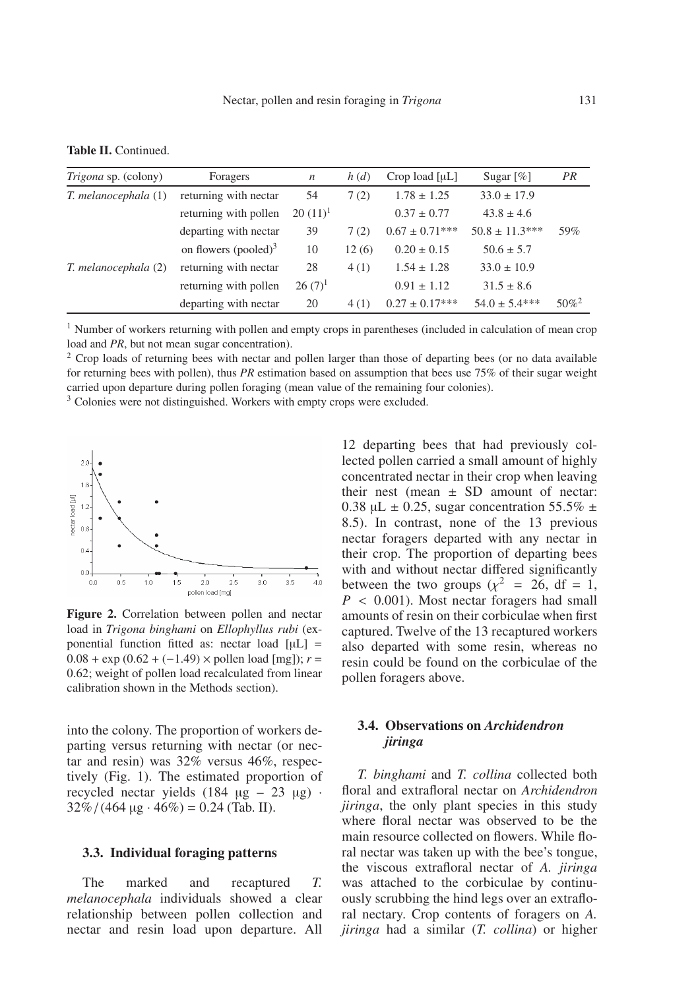| <b>Table II.</b> Continued. |  |
|-----------------------------|--|
|-----------------------------|--|

| Trigona sp. (colony) | Foragers                | $\boldsymbol{n}$ | h(d)  | Crop load $[\mu L]$ | Sugar $\lceil\% \rceil$ | PR       |
|----------------------|-------------------------|------------------|-------|---------------------|-------------------------|----------|
| T. melanocephala (1) | returning with nectar   | 54               | 7(2)  | $1.78 \pm 1.25$     | $33.0 \pm 17.9$         |          |
|                      | returning with pollen   | $20(11)^1$       |       | $0.37 \pm 0.77$     | $43.8 \pm 4.6$          |          |
|                      | departing with nectar   | 39               | 7(2)  | $0.67 \pm 0.71***$  | $50.8 \pm 11.3***$      | 59%      |
|                      | on flowers (pooled) $3$ | 10               | 12(6) | $0.20 \pm 0.15$     | $50.6 \pm 5.7$          |          |
| T. melanocephala (2) | returning with nectar   | 28               | 4(1)  | $1.54 \pm 1.28$     | $33.0 \pm 10.9$         |          |
|                      | returning with pollen   | $26(7)^1$        |       | $0.91 \pm 1.12$     | $31.5 \pm 8.6$          |          |
|                      | departing with nectar   | 20               | 4(1)  | $0.27 \pm 0.17***$  | $54.0 + 5.4***$         | $50\%^2$ |

<sup>1</sup> Number of workers returning with pollen and empty crops in parentheses (included in calculation of mean crop load and *PR*, but not mean sugar concentration).

<sup>2</sup> Crop loads of returning bees with nectar and pollen larger than those of departing bees (or no data available for returning bees with pollen), thus *PR* estimation based on assumption that bees use 75% of their sugar weight carried upon departure during pollen foraging (mean value of the remaining four colonies).

<sup>3</sup> Colonies were not distinguished. Workers with empty crops were excluded.



**Figure 2.** Correlation between pollen and nectar load in *Trigona binghami* on *Ellophyllus rubi* (exponential function fitted as: nectar load  $[\mu L]$  =  $0.08 + \exp(0.62 + (-1.49) \times \text{pollen load [mg]); } r =$ 0.62; weight of pollen load recalculated from linear calibration shown in the Methods section).

into the colony. The proportion of workers departing versus returning with nectar (or nectar and resin) was 32% versus 46%, respectively (Fig. 1). The estimated proportion of recycled nectar yields  $(184 \text{ µg} - 23 \text{ µg})$ .  $32\%/ (464 \text{ µg} \cdot 46\%) = 0.24 \text{ (Tab. II)}.$ 

# **3.3. Individual foraging patterns**

The marked and recaptured *T. melanocephala* individuals showed a clear relationship between pollen collection and nectar and resin load upon departure. All

12 departing bees that had previously collected pollen carried a small amount of highly concentrated nectar in their crop when leaving their nest (mean  $\pm$  SD amount of nectar: 0.38  $\mu$ L  $\pm$  0.25, sugar concentration 55.5%  $\pm$ 8.5). In contrast, none of the 13 previous nectar foragers departed with any nectar in their crop. The proportion of departing bees with and without nectar differed significantly between the two groups ( $\chi^2 = 26$ , df = 1,  $P < 0.001$ ). Most nectar foragers had small amounts of resin on their corbiculae when first captured. Twelve of the 13 recaptured workers also departed with some resin, whereas no resin could be found on the corbiculae of the pollen foragers above.

# **3.4. Observations on** *Archidendron jiringa*

*T. binghami* and *T. collina* collected both floral and extrafloral nectar on *Archidendron jiringa*, the only plant species in this study where floral nectar was observed to be the main resource collected on flowers. While floral nectar was taken up with the bee's tongue, the viscous extrafloral nectar of *A. jiringa* was attached to the corbiculae by continuously scrubbing the hind legs over an extrafloral nectary. Crop contents of foragers on *A. jiringa* had a similar (*T. collina*) or higher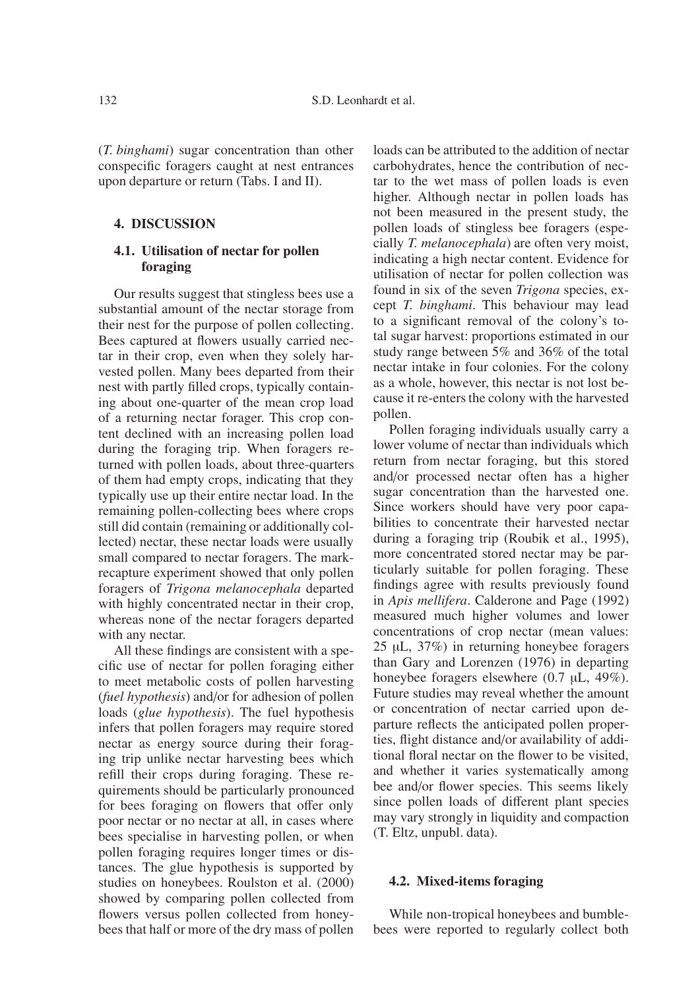(*T. binghami*) sugar concentration than other conspecific foragers caught at nest entrances upon departure or return (Tabs. I and II).

#### **4. DISCUSSION**

# **4.1. Utilisation of nectar for pollen foraging**

Our results suggest that stingless bees use a substantial amount of the nectar storage from their nest for the purpose of pollen collecting. Bees captured at flowers usually carried nectar in their crop, even when they solely harvested pollen. Many bees departed from their nest with partly filled crops, typically containing about one-quarter of the mean crop load of a returning nectar forager. This crop content declined with an increasing pollen load during the foraging trip. When foragers returned with pollen loads, about three-quarters of them had empty crops, indicating that they typically use up their entire nectar load. In the remaining pollen-collecting bees where crops still did contain (remaining or additionally collected) nectar, these nectar loads were usually small compared to nectar foragers. The markrecapture experiment showed that only pollen foragers of *Trigona melanocephala* departed with highly concentrated nectar in their crop, whereas none of the nectar foragers departed with any nectar.

All these findings are consistent with a specific use of nectar for pollen foraging either to meet metabolic costs of pollen harvesting (*fuel hypothesis*) and/or for adhesion of pollen loads (*glue hypothesis*). The fuel hypothesis infers that pollen foragers may require stored nectar as energy source during their foraging trip unlike nectar harvesting bees which refill their crops during foraging. These requirements should be particularly pronounced for bees foraging on flowers that offer only poor nectar or no nectar at all, in cases where bees specialise in harvesting pollen, or when pollen foraging requires longer times or distances. The glue hypothesis is supported by studies on honeybees. Roulston et al. (2000) showed by comparing pollen collected from flowers versus pollen collected from honeybees that half or more of the dry mass of pollen loads can be attributed to the addition of nectar carbohydrates, hence the contribution of nectar to the wet mass of pollen loads is even higher. Although nectar in pollen loads has not been measured in the present study, the pollen loads of stingless bee foragers (especially *T. melanocephala*) are often very moist, indicating a high nectar content. Evidence for utilisation of nectar for pollen collection was found in six of the seven *Trigona* species, except *T. binghami*. This behaviour may lead to a significant removal of the colony's total sugar harvest: proportions estimated in our study range between 5% and 36% of the total nectar intake in four colonies. For the colony as a whole, however, this nectar is not lost because it re-enters the colony with the harvested pollen.

Pollen foraging individuals usually carry a lower volume of nectar than individuals which return from nectar foraging, but this stored and/or processed nectar often has a higher sugar concentration than the harvested one. Since workers should have very poor capabilities to concentrate their harvested nectar during a foraging trip (Roubik et al., 1995), more concentrated stored nectar may be particularly suitable for pollen foraging. These findings agree with results previously found in *Apis mellifera*. Calderone and Page (1992) measured much higher volumes and lower concentrations of crop nectar (mean values: 25 µL, 37%) in returning honeybee foragers than Gary and Lorenzen (1976) in departing honeybee foragers elsewhere (0.7 µL, 49%). Future studies may reveal whether the amount or concentration of nectar carried upon departure reflects the anticipated pollen properties, flight distance and/or availability of additional floral nectar on the flower to be visited, and whether it varies systematically among bee and/or flower species. This seems likely since pollen loads of different plant species may vary strongly in liquidity and compaction (T. Eltz, unpubl. data).

#### **4.2. Mixed-items foraging**

While non-tropical honeybees and bumblebees were reported to regularly collect both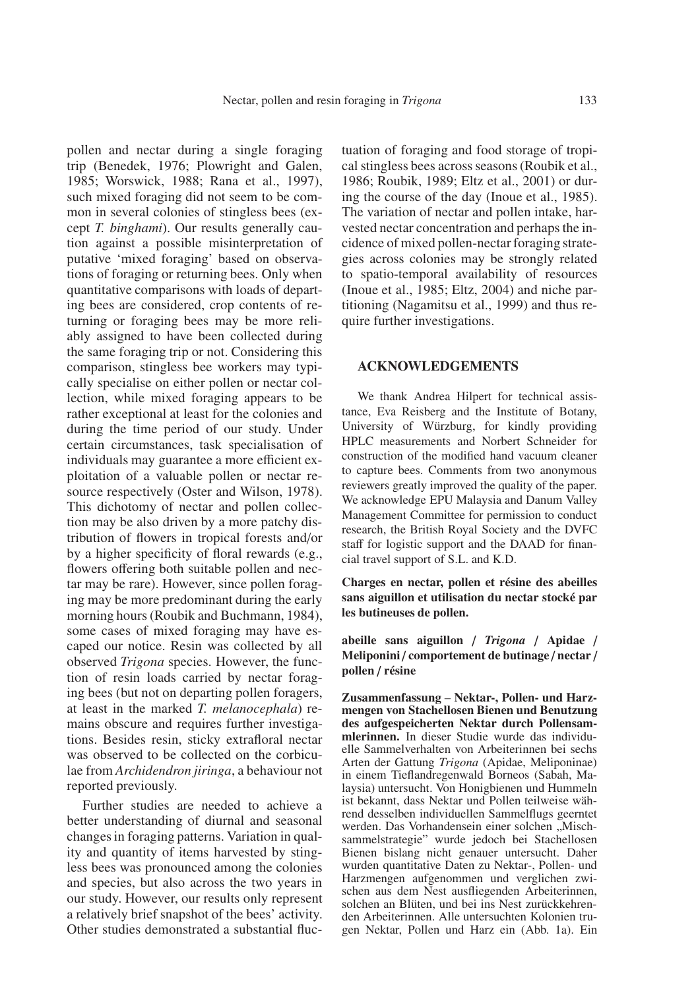pollen and nectar during a single foraging trip (Benedek, 1976; Plowright and Galen, 1985; Worswick, 1988; Rana et al., 1997), such mixed foraging did not seem to be common in several colonies of stingless bees (except *T. binghami*). Our results generally caution against a possible misinterpretation of putative 'mixed foraging' based on observations of foraging or returning bees. Only when quantitative comparisons with loads of departing bees are considered, crop contents of returning or foraging bees may be more reliably assigned to have been collected during the same foraging trip or not. Considering this comparison, stingless bee workers may typically specialise on either pollen or nectar collection, while mixed foraging appears to be rather exceptional at least for the colonies and during the time period of our study. Under certain circumstances, task specialisation of individuals may guarantee a more efficient exploitation of a valuable pollen or nectar resource respectively (Oster and Wilson, 1978). This dichotomy of nectar and pollen collection may be also driven by a more patchy distribution of flowers in tropical forests and/or by a higher specificity of floral rewards (e.g., flowers offering both suitable pollen and nectar may be rare). However, since pollen foraging may be more predominant during the early morning hours (Roubik and Buchmann, 1984), some cases of mixed foraging may have escaped our notice. Resin was collected by all observed *Trigona* species. However, the function of resin loads carried by nectar foraging bees (but not on departing pollen foragers, at least in the marked *T. melanocephala*) remains obscure and requires further investigations. Besides resin, sticky extrafloral nectar was observed to be collected on the corbiculae from *Archidendron jiringa*, a behaviour not reported previously.

Further studies are needed to achieve a better understanding of diurnal and seasonal changes in foraging patterns. Variation in quality and quantity of items harvested by stingless bees was pronounced among the colonies and species, but also across the two years in our study. However, our results only represent a relatively brief snapshot of the bees' activity. Other studies demonstrated a substantial fluctuation of foraging and food storage of tropical stingless bees across seasons (Roubik et al., 1986; Roubik, 1989; Eltz et al., 2001) or during the course of the day (Inoue et al., 1985). The variation of nectar and pollen intake, harvested nectar concentration and perhaps the incidence of mixed pollen-nectar foraging strategies across colonies may be strongly related to spatio-temporal availability of resources (Inoue et al., 1985; Eltz, 2004) and niche partitioning (Nagamitsu et al., 1999) and thus require further investigations.

## **ACKNOWLEDGEMENTS**

We thank Andrea Hilpert for technical assistance, Eva Reisberg and the Institute of Botany, University of Würzburg, for kindly providing HPLC measurements and Norbert Schneider for construction of the modified hand vacuum cleaner to capture bees. Comments from two anonymous reviewers greatly improved the quality of the paper. We acknowledge EPU Malaysia and Danum Valley Management Committee for permission to conduct research, the British Royal Society and the DVFC staff for logistic support and the DAAD for financial travel support of S.L. and K.D.

**Charges en nectar, pollen et résine des abeilles sans aiguillon et utilisation du nectar stocké par les butineuses de pollen.**

**abeille sans aiguillon** / *Trigona* / **Apidae** / **Meliponini** / **comportement de butinage** / **nectar** / **pollen** / **résine**

**Zusammenfassung** – **Nektar-, Pollen- und Harzmengen von Stachellosen Bienen und Benutzung des aufgespeicherten Nektar durch Pollensammlerinnen.** In dieser Studie wurde das individuelle Sammelverhalten von Arbeiterinnen bei sechs Arten der Gattung *Trigona* (Apidae, Meliponinae) in einem Tieflandregenwald Borneos (Sabah, Malaysia) untersucht. Von Honigbienen und Hummeln ist bekannt, dass Nektar und Pollen teilweise während desselben individuellen Sammelflugs geerntet werden. Das Vorhandensein einer solchen "Mischsammelstrategie" wurde jedoch bei Stachellosen Bienen bislang nicht genauer untersucht. Daher wurden quantitative Daten zu Nektar-, Pollen- und Harzmengen aufgenommen und verglichen zwischen aus dem Nest ausfliegenden Arbeiterinnen, solchen an Blüten, und bei ins Nest zurückkehrenden Arbeiterinnen. Alle untersuchten Kolonien trugen Nektar, Pollen und Harz ein (Abb. 1a). Ein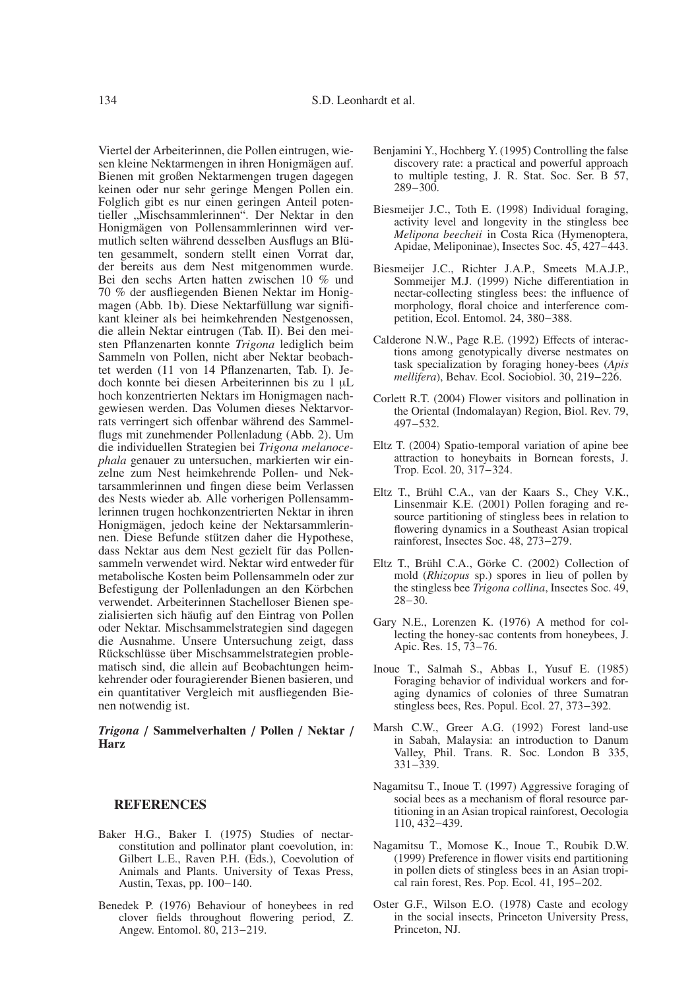Viertel der Arbeiterinnen, die Pollen eintrugen, wiesen kleine Nektarmengen in ihren Honigmägen auf. Bienen mit großen Nektarmengen trugen dagegen keinen oder nur sehr geringe Mengen Pollen ein. Folglich gibt es nur einen geringen Anteil potentieller "Mischsammlerinnen". Der Nektar in den Honigmägen von Pollensammlerinnen wird vermutlich selten während desselben Ausflugs an Blüten gesammelt, sondern stellt einen Vorrat dar, der bereits aus dem Nest mitgenommen wurde. Bei den sechs Arten hatten zwischen 10 % und 70 % der ausfliegenden Bienen Nektar im Honigmagen (Abb. 1b). Diese Nektarfüllung war signifikant kleiner als bei heimkehrenden Nestgenossen, die allein Nektar eintrugen (Tab. II). Bei den meisten Pflanzenarten konnte *Trigona* lediglich beim Sammeln von Pollen, nicht aber Nektar beobachtet werden (11 von 14 Pflanzenarten, Tab. I). Jedoch konnte bei diesen Arbeiterinnen bis zu 1 µL hoch konzentrierten Nektars im Honigmagen nachgewiesen werden. Das Volumen dieses Nektarvorrats verringert sich offenbar während des Sammelflugs mit zunehmender Pollenladung (Abb. 2). Um die individuellen Strategien bei *Trigona melanocephala* genauer zu untersuchen, markierten wir einzelne zum Nest heimkehrende Pollen- und Nektarsammlerinnen und fingen diese beim Verlassen des Nests wieder ab. Alle vorherigen Pollensammlerinnen trugen hochkonzentrierten Nektar in ihren Honigmägen, jedoch keine der Nektarsammlerinnen. Diese Befunde stützen daher die Hypothese, dass Nektar aus dem Nest gezielt für das Pollensammeln verwendet wird. Nektar wird entweder für metabolische Kosten beim Pollensammeln oder zur Befestigung der Pollenladungen an den Körbchen verwendet. Arbeiterinnen Stachelloser Bienen spezialisierten sich häufig auf den Eintrag von Pollen oder Nektar. Mischsammelstrategien sind dagegen die Ausnahme. Unsere Untersuchung zeigt, dass Rückschlüsse über Mischsammelstrategien problematisch sind, die allein auf Beobachtungen heimkehrender oder fouragierender Bienen basieren, und ein quantitativer Vergleich mit ausfliegenden Bienen notwendig ist.

*Trigona* / **Sammelverhalten** / **Pollen** / **Nektar** / **Harz**

#### **REFERENCES**

- Baker H.G., Baker I. (1975) Studies of nectarconstitution and pollinator plant coevolution, in: Gilbert L.E., Raven P.H. (Eds.), Coevolution of Animals and Plants. University of Texas Press, Austin, Texas, pp. 100−140.
- Benedek P. (1976) Behaviour of honeybees in red clover fields throughout flowering period, Z. Angew. Entomol. 80, 213−219.
- Benjamini Y., Hochberg Y. (1995) Controlling the false discovery rate: a practical and powerful approach to multiple testing, J. R. Stat. Soc. Ser. B 57, 289−300.
- Biesmeijer J.C., Toth E. (1998) Individual foraging, activity level and longevity in the stingless bee *Melipona beecheii* in Costa Rica (Hymenoptera, Apidae, Meliponinae), Insectes Soc. 45, 427−443.
- Biesmeijer J.C., Richter J.A.P., Smeets M.A.J.P., Sommeijer M.J. (1999) Niche differentiation in nectar-collecting stingless bees: the influence of morphology, floral choice and interference competition, Ecol. Entomol. 24, 380−388.
- Calderone N.W., Page R.E. (1992) Effects of interactions among genotypically diverse nestmates on task specialization by foraging honey-bees (*Apis mellifera*), Behav. Ecol. Sociobiol. 30, 219−226.
- Corlett R.T. (2004) Flower visitors and pollination in the Oriental (Indomalayan) Region, Biol. Rev. 79, 497−532.
- Eltz T. (2004) Spatio-temporal variation of apine bee attraction to honeybaits in Bornean forests, J. Trop. Ecol. 20, 317−324.
- Eltz T., Brühl C.A., van der Kaars S., Chey V.K., Linsenmair K.E. (2001) Pollen foraging and resource partitioning of stingless bees in relation to flowering dynamics in a Southeast Asian tropical rainforest, Insectes Soc. 48, 273−279.
- Eltz T., Brühl C.A., Görke C. (2002) Collection of mold (*Rhizopus* sp.) spores in lieu of pollen by the stingless bee *Trigona collina*, Insectes Soc. 49, 28−30.
- Gary N.E., Lorenzen K. (1976) A method for collecting the honey-sac contents from honeybees, J. Apic. Res. 15, 73−76.
- Inoue T., Salmah S., Abbas I., Yusuf E. (1985) Foraging behavior of individual workers and foraging dynamics of colonies of three Sumatran stingless bees, Res. Popul. Ecol. 27, 373−392.
- Marsh C.W., Greer A.G. (1992) Forest land-use in Sabah, Malaysia: an introduction to Danum Valley, Phil. Trans. R. Soc. London B 335, 331−339.
- Nagamitsu T., Inoue T. (1997) Aggressive foraging of social bees as a mechanism of floral resource partitioning in an Asian tropical rainforest, Oecologia 110, 432−439.
- Nagamitsu T., Momose K., Inoue T., Roubik D.W. (1999) Preference in flower visits end partitioning in pollen diets of stingless bees in an Asian tropical rain forest, Res. Pop. Ecol. 41, 195−202.
- Oster G.F., Wilson E.O. (1978) Caste and ecology in the social insects, Princeton University Press, Princeton, NJ.